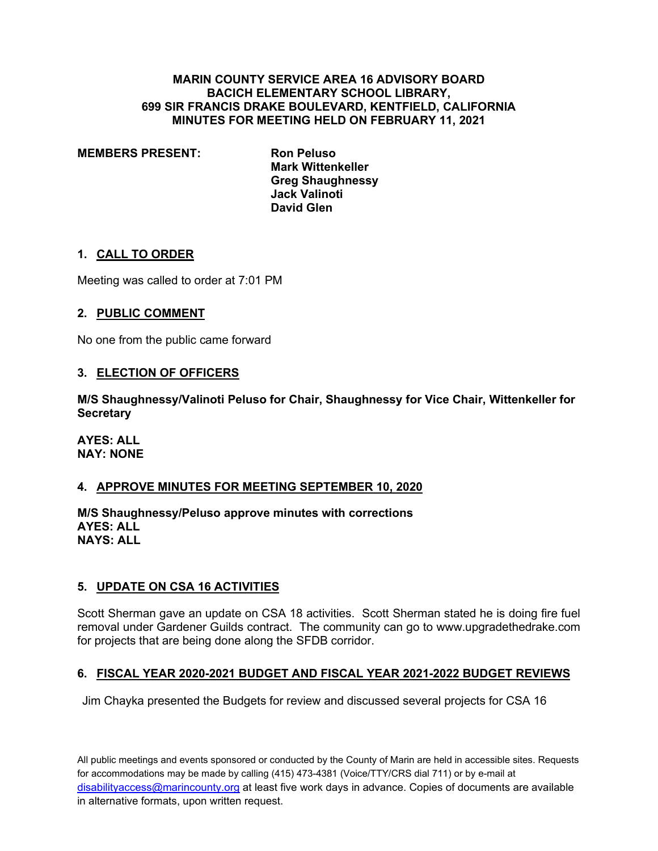#### **MARIN COUNTY SERVICE AREA 16 ADVISORY BOARD BACICH ELEMENTARY SCHOOL LIBRARY, 699 SIR FRANCIS DRAKE BOULEVARD, KENTFIELD, CALIFORNIA MINUTES FOR MEETING HELD ON FEBRUARY 11, 2021**

**MEMBERS PRESENT: Ron Peluso**

**Mark Wittenkeller Greg Shaughnessy Jack Valinoti David Glen**

### **1. CALL TO ORDER**

Meeting was called to order at 7:01 PM

# **2. PUBLIC COMMENT**

No one from the public came forward

### **3. ELECTION OF OFFICERS**

**M/S Shaughnessy/Valinoti Peluso for Chair, Shaughnessy for Vice Chair, Wittenkeller for Secretary** 

**AYES: ALL NAY: NONE**

# **4. APPROVE MINUTES FOR MEETING SEPTEMBER 10, 2020**

**M/S Shaughnessy/Peluso approve minutes with corrections AYES: ALL NAYS: ALL**

### **5. UPDATE ON CSA 16 ACTIVITIES**

Scott Sherman gave an update on CSA 18 activities. Scott Sherman stated he is doing fire fuel removal under Gardener Guilds contract. The community can go to www.upgradethedrake.com for projects that are being done along the SFDB corridor.

# **6. FISCAL YEAR 2020-2021 BUDGET AND FISCAL YEAR 2021-2022 BUDGET REVIEWS**

Jim Chayka presented the Budgets for review and discussed several projects for CSA 16

All public meetings and events sponsored or conducted by the County of Marin are held in accessible sites. Requests for accommodations may be made by calling (415) 473-4381 (Voice/TTY/CRS dial 711) or by e-mail at disabilityaccess@marincounty.org at least five work days in advance. Copies of documents are available in alternative formats, upon written request.